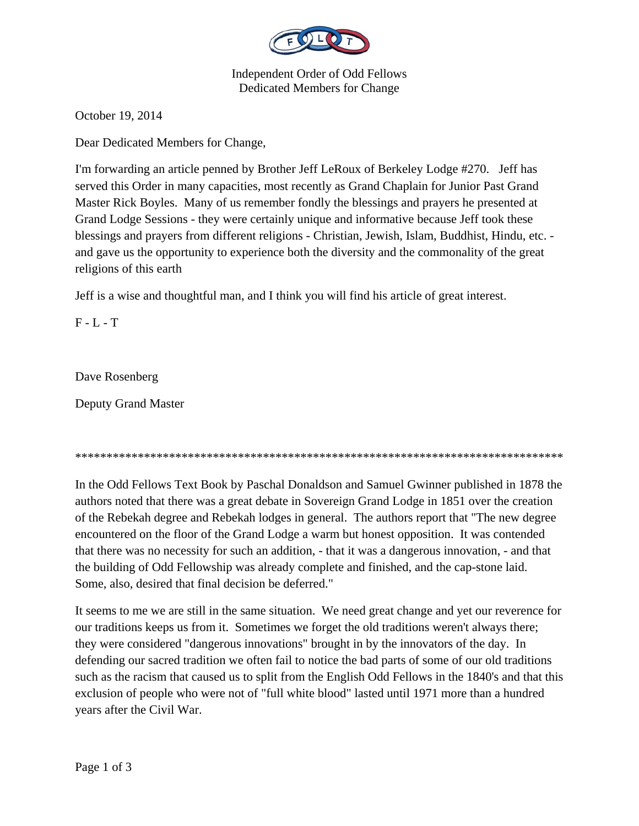

Independent Order of Odd Fellows Dedicated Members for Change

October 19, 2014

Dear Dedicated Members for Change,

I'm forwarding an article penned by Brother Jeff LeRoux of Berkeley Lodge #270. Jeff has served this Order in many capacities, most recently as Grand Chaplain for Junior Past Grand Master Rick Boyles. Many of us remember fondly the blessings and prayers he presented at Grand Lodge Sessions - they were certainly unique and informative because Jeff took these blessings and prayers from different religions - Christian, Jewish, Islam, Buddhist, Hindu, etc. and gave us the opportunity to experience both the diversity and the commonality of the great religions of this earth

Jeff is a wise and thoughtful man, and I think you will find his article of great interest.

F - L - T

Dave Rosenberg

Deputy Grand Master

\*\*\*\*\*\*\*\*\*\*\*\*\*\*\*\*\*\*\*\*\*\*\*\*\*\*\*\*\*\*\*\*\*\*\*\*\*\*\*\*\*\*\*\*\*\*\*\*\*\*\*\*\*\*\*\*\*\*\*\*\*\*\*\*\*\*\*\*\*\*\*\*\*\*\*\*\*\*

In the Odd Fellows Text Book by Paschal Donaldson and Samuel Gwinner published in 1878 the authors noted that there was a great debate in Sovereign Grand Lodge in 1851 over the creation of the Rebekah degree and Rebekah lodges in general. The authors report that "The new degree encountered on the floor of the Grand Lodge a warm but honest opposition. It was contended that there was no necessity for such an addition, - that it was a dangerous innovation, - and that the building of Odd Fellowship was already complete and finished, and the cap-stone laid. Some, also, desired that final decision be deferred."

It seems to me we are still in the same situation. We need great change and yet our reverence for our traditions keeps us from it. Sometimes we forget the old traditions weren't always there; they were considered "dangerous innovations" brought in by the innovators of the day. In defending our sacred tradition we often fail to notice the bad parts of some of our old traditions such as the racism that caused us to split from the English Odd Fellows in the 1840's and that this exclusion of people who were not of "full white blood" lasted until 1971 more than a hundred years after the Civil War.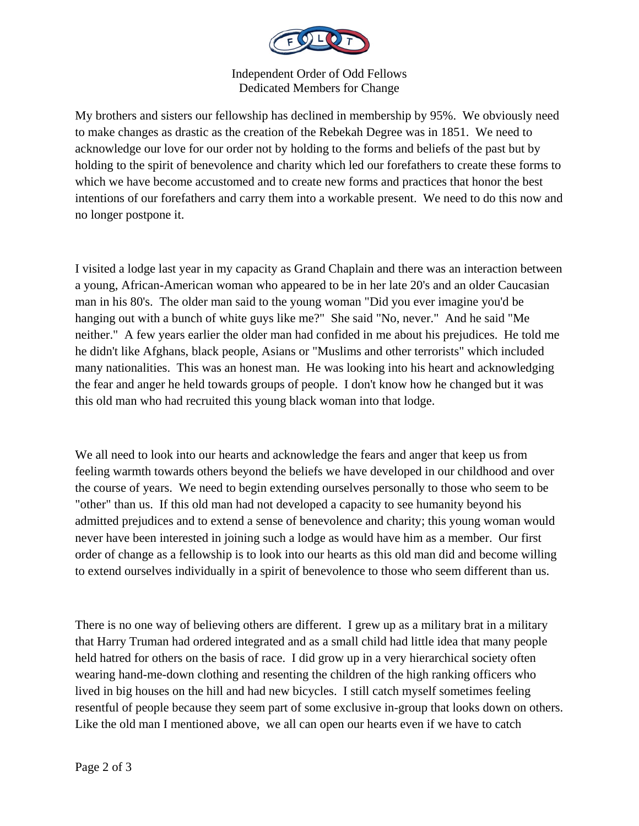

Independent Order of Odd Fellows Dedicated Members for Change

My brothers and sisters our fellowship has declined in membership by 95%. We obviously need to make changes as drastic as the creation of the Rebekah Degree was in 1851. We need to acknowledge our love for our order not by holding to the forms and beliefs of the past but by holding to the spirit of benevolence and charity which led our forefathers to create these forms to which we have become accustomed and to create new forms and practices that honor the best intentions of our forefathers and carry them into a workable present. We need to do this now and no longer postpone it.

I visited a lodge last year in my capacity as Grand Chaplain and there was an interaction between a young, African-American woman who appeared to be in her late 20's and an older Caucasian man in his 80's. The older man said to the young woman "Did you ever imagine you'd be hanging out with a bunch of white guys like me?" She said "No, never." And he said "Me neither." A few years earlier the older man had confided in me about his prejudices. He told me he didn't like Afghans, black people, Asians or "Muslims and other terrorists" which included many nationalities. This was an honest man. He was looking into his heart and acknowledging the fear and anger he held towards groups of people. I don't know how he changed but it was this old man who had recruited this young black woman into that lodge.

We all need to look into our hearts and acknowledge the fears and anger that keep us from feeling warmth towards others beyond the beliefs we have developed in our childhood and over the course of years. We need to begin extending ourselves personally to those who seem to be "other" than us. If this old man had not developed a capacity to see humanity beyond his admitted prejudices and to extend a sense of benevolence and charity; this young woman would never have been interested in joining such a lodge as would have him as a member. Our first order of change as a fellowship is to look into our hearts as this old man did and become willing to extend ourselves individually in a spirit of benevolence to those who seem different than us.

There is no one way of believing others are different. I grew up as a military brat in a military that Harry Truman had ordered integrated and as a small child had little idea that many people held hatred for others on the basis of race. I did grow up in a very hierarchical society often wearing hand-me-down clothing and resenting the children of the high ranking officers who lived in big houses on the hill and had new bicycles. I still catch myself sometimes feeling resentful of people because they seem part of some exclusive in-group that looks down on others. Like the old man I mentioned above, we all can open our hearts even if we have to catch